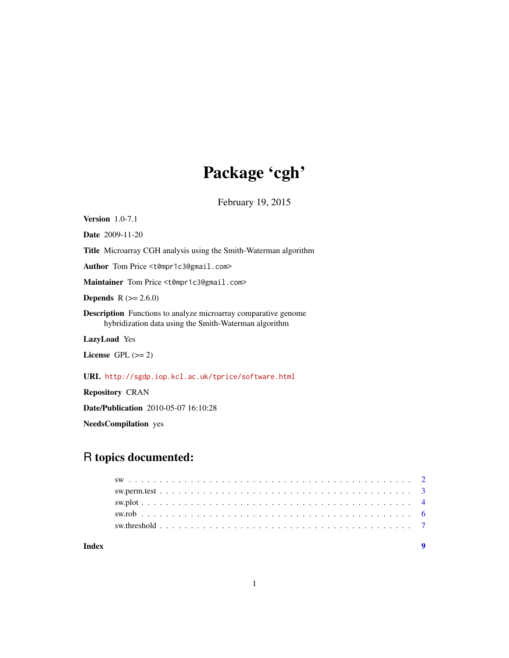## Package 'cgh'

February 19, 2015

Version 1.0-7.1 Date 2009-11-20 Title Microarray CGH analysis using the Smith-Waterman algorithm Author Tom Price <t0mpr1c3@gmail.com> Maintainer Tom Price <t0mpr1c3@gmail.com> **Depends**  $R (= 2.6.0)$ Description Functions to analyze microarray comparative genome hybridization data using the Smith-Waterman algorithm LazyLoad Yes License GPL  $(>= 2)$ URL <http://sgdp.iop.kcl.ac.uk/tprice/software.html>

Date/Publication 2010-05-07 16:10:28

NeedsCompilation yes

Repository CRAN

## R topics documented: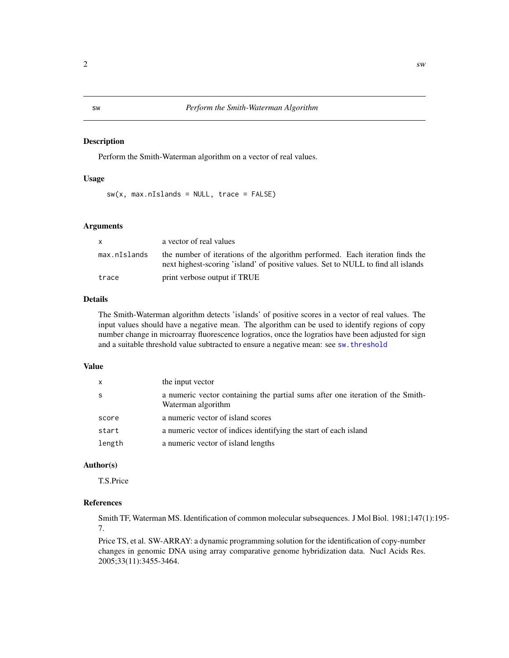#### <span id="page-1-1"></span><span id="page-1-0"></span>Description

Perform the Smith-Waterman algorithm on a vector of real values.

#### Usage

 $sw(x, max.nIslands = NULL, trace = FALSE)$ 

#### Arguments

| X.           | a vector of real values                                                                                                                                            |
|--------------|--------------------------------------------------------------------------------------------------------------------------------------------------------------------|
| max.nIslands | the number of iterations of the algorithm performed. Each iteration finds the<br>next highest-scoring 'island' of positive values. Set to NULL to find all islands |
| trace        | print verbose output if TRUE                                                                                                                                       |

#### Details

The Smith-Waterman algorithm detects 'islands' of positive scores in a vector of real values. The input values should have a negative mean. The algorithm can be used to identify regions of copy number change in microarray fluorescence logratios, once the logratios have been adjusted for sign and a suitable threshold value subtracted to ensure a negative mean: see [sw.threshold](#page-6-1)

#### Value

| X      | the input vector                                                                                     |
|--------|------------------------------------------------------------------------------------------------------|
| S      | a numeric vector containing the partial sums after one iteration of the Smith-<br>Waterman algorithm |
| score  | a numeric vector of island scores                                                                    |
| start  | a numeric vector of indices identifying the start of each island                                     |
| length | a numeric vector of island lengths                                                                   |

#### Author(s)

T.S.Price

### References

Smith TF, Waterman MS. Identification of common molecular subsequences. J Mol Biol. 1981;147(1):195- 7.

Price TS, et al. SW-ARRAY: a dynamic programming solution for the identification of copy-number changes in genomic DNA using array comparative genome hybridization data. Nucl Acids Res. 2005;33(11):3455-3464.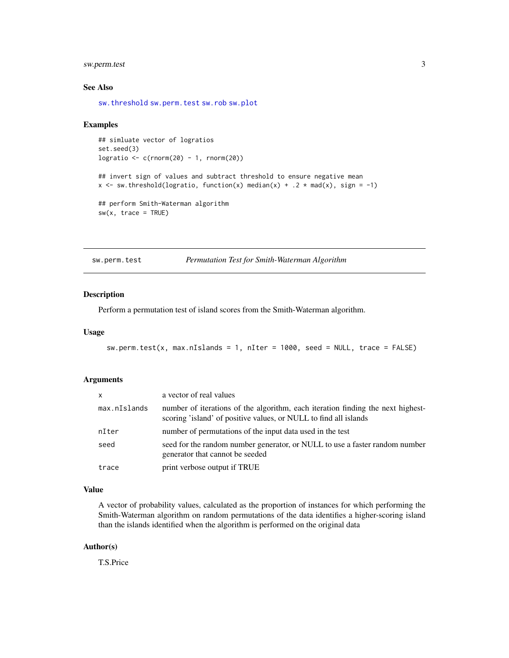#### <span id="page-2-0"></span>sw.perm.test 3

#### See Also

[sw.threshold](#page-6-1) [sw.perm.test](#page-2-1) [sw.rob](#page-5-1) [sw.plot](#page-3-1)

#### Examples

```
## simluate vector of logratios
set.seed(3)
logratio \leq c(\text{rnorm}(20) - 1, \text{rnorm}(20))## invert sign of values and subtract threshold to ensure negative mean
x \le - sw.threshold(logratio, function(x) median(x) + .2 * mad(x), sign = -1)
## perform Smith-Waterman algorithm
sw(x, trace = TRUE)
```
<span id="page-2-1"></span>sw.perm.test *Permutation Test for Smith-Waterman Algorithm*

#### Description

Perform a permutation test of island scores from the Smith-Waterman algorithm.

#### Usage

```
sw.perm.test(x, max.nIslands = 1, nIter = 1000, seed = NULL, trace = FALSE)
```
#### Arguments

| $\mathsf{x}$ | a vector of real values                                                                                                                             |
|--------------|-----------------------------------------------------------------------------------------------------------------------------------------------------|
| max.nIslands | number of iterations of the algorithm, each iteration finding the next highest-<br>scoring 'island' of positive values, or NULL to find all islands |
| nIter        | number of permutations of the input data used in the test                                                                                           |
| seed         | seed for the random number generator, or NULL to use a faster random number<br>generator that cannot be seeded                                      |
| trace        | print verbose output if TRUE                                                                                                                        |

#### Value

A vector of probability values, calculated as the proportion of instances for which performing the Smith-Waterman algorithm on random permutations of the data identifies a higher-scoring island than the islands identified when the algorithm is performed on the original data

#### Author(s)

T.S.Price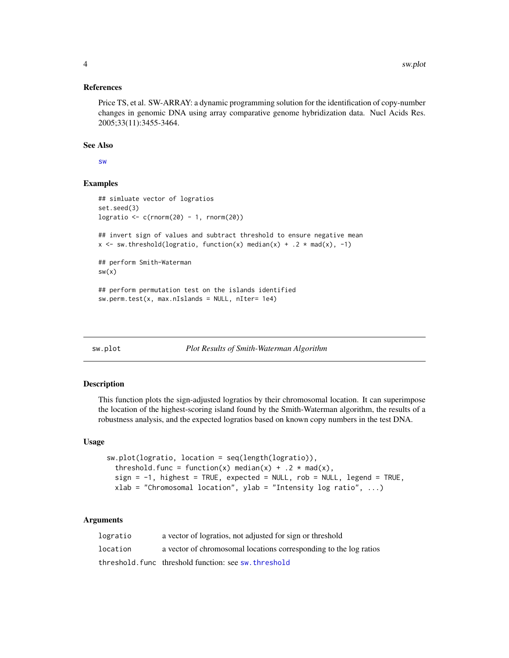#### <span id="page-3-0"></span>References

Price TS, et al. SW-ARRAY: a dynamic programming solution for the identification of copy-number changes in genomic DNA using array comparative genome hybridization data. Nucl Acids Res. 2005;33(11):3455-3464.

#### See Also

[sw](#page-1-1)

#### Examples

```
## simluate vector of logratios
set.seed(3)
logratio <- c(rnorm(20) - 1, rnorm(20))
## invert sign of values and subtract threshold to ensure negative mean
x \le - sw.threshold(logratio, function(x) median(x) + .2 * mad(x), -1)
## perform Smith-Waterman
sw(x)## perform permutation test on the islands identified
sw.perm.test(x, max.nIslands = NULL, nIter= 1e4)
```
<span id="page-3-1"></span>sw.plot *Plot Results of Smith-Waterman Algorithm*

#### **Description**

This function plots the sign-adjusted logratios by their chromosomal location. It can superimpose the location of the highest-scoring island found by the Smith-Waterman algorithm, the results of a robustness analysis, and the expected logratios based on known copy numbers in the test DNA.

#### Usage

```
sw.plot(logratio, location = seq(length(logratio)),
 threshold.func = function(x) median(x) + .2 \times mad(x),
 sign = -1, highest = TRUE, expected = NULL, rob = NULL, legend = TRUE,
 xlab = "Chromosomal location", ylab = "Intensity log ratio", ...)
```
#### Arguments

| logratio | a vector of logratios, not adjusted for sign or threshold         |
|----------|-------------------------------------------------------------------|
| location | a vector of chromosomal locations corresponding to the log ratios |
|          | threshold func threshold function: see sw.threshold               |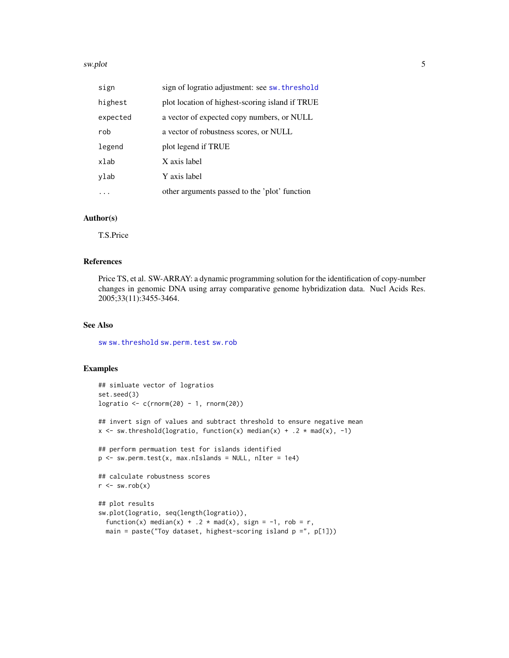#### <span id="page-4-0"></span>sw.plot 5

| sign     | sign of logratio adjustment: see sw. threshold  |
|----------|-------------------------------------------------|
| highest  | plot location of highest-scoring island if TRUE |
| expected | a vector of expected copy numbers, or NULL      |
| rob      | a vector of robustness scores, or NULL          |
| legend   | plot legend if TRUE                             |
| xlab     | X axis label                                    |
| ylab     | Y axis label                                    |
|          | other arguments passed to the 'plot' function   |

#### Author(s)

T.S.Price

#### References

Price TS, et al. SW-ARRAY: a dynamic programming solution for the identification of copy-number changes in genomic DNA using array comparative genome hybridization data. Nucl Acids Res. 2005;33(11):3455-3464.

#### See Also

[sw](#page-1-1) [sw.threshold](#page-6-1) [sw.perm.test](#page-2-1) [sw.rob](#page-5-1)

#### Examples

```
## simluate vector of logratios
set.seed(3)
logratio <- c(rnorm(20) - 1, rnorm(20))
## invert sign of values and subtract threshold to ensure negative mean
x \le - sw.threshold(logratio, function(x) median(x) + .2 * mad(x), -1)
## perform permuation test for islands identified
p \le - sw.perm.test(x, max.nIslands = NULL, nIter = 1e4)
## calculate robustness scores
r \leftarrow sw.rob(x)## plot results
sw.plot(logratio, seq(length(logratio)),
  function(x) median(x) + .2 * \text{mad}(x), sign = -1, rob = r,
  main = paste("Toy dataset, highest-scoring island p = ", p[1]))
```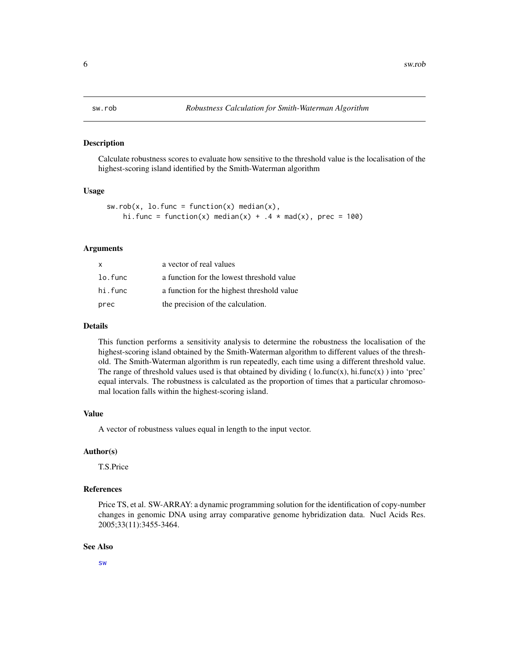#### <span id="page-5-1"></span><span id="page-5-0"></span>Description

Calculate robustness scores to evaluate how sensitive to the threshold value is the localisation of the highest-scoring island identified by the Smith-Waterman algorithm

#### Usage

```
sw.rob(x, lo.func = function(x) median(x),hi.func = function(x) median(x) + .4 * \text{mad}(x), prec = 100)
```
#### Arguments

| X       | a vector of real values                    |
|---------|--------------------------------------------|
| lo.func | a function for the lowest threshold value  |
| hi.func | a function for the highest threshold value |
| prec    | the precision of the calculation.          |

#### Details

This function performs a sensitivity analysis to determine the robustness the localisation of the highest-scoring island obtained by the Smith-Waterman algorithm to different values of the threshold. The Smith-Waterman algorithm is run repeatedly, each time using a different threshold value. The range of threshold values used is that obtained by dividing ( $\text{lo.func}(x)$ , hi.func $(x)$ ) into 'prec' equal intervals. The robustness is calculated as the proportion of times that a particular chromosomal location falls within the highest-scoring island.

#### Value

A vector of robustness values equal in length to the input vector.

#### Author(s)

T.S.Price

#### References

Price TS, et al. SW-ARRAY: a dynamic programming solution for the identification of copy-number changes in genomic DNA using array comparative genome hybridization data. Nucl Acids Res. 2005;33(11):3455-3464.

#### See Also

[sw](#page-1-1)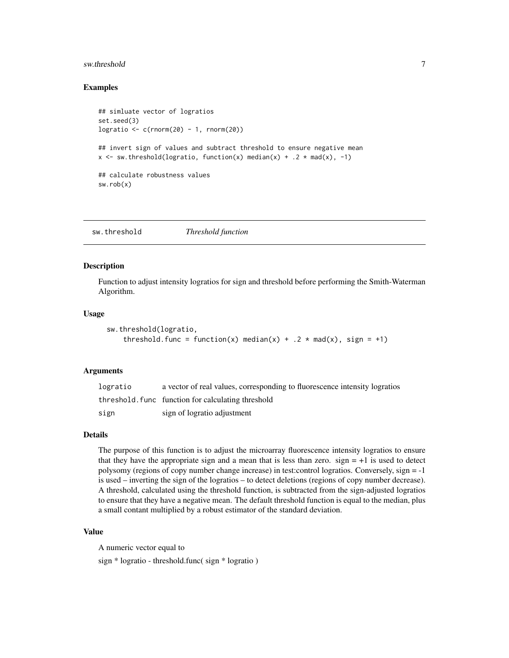#### <span id="page-6-0"></span>sw.threshold 7 and 7 and 7 and 7 and 7 and 7 and 7 and 7 and 7 and 7 and 7 and 7 and 7 and 7 and 7 and 7 and 7

#### Examples

```
## simluate vector of logratios
set.seed(3)
logratio <- c(rnorm(20) - 1, rnorm(20))
## invert sign of values and subtract threshold to ensure negative mean
x \le - sw.threshold(logratio, function(x) median(x) + .2 * mad(x), -1)
## calculate robustness values
sw.rob(x)
```
<span id="page-6-1"></span>sw.threshold *Threshold function*

#### Description

Function to adjust intensity logratios for sign and threshold before performing the Smith-Waterman Algorithm.

#### Usage

```
sw.threshold(logratio,
    threshold.func = function(x) median(x) + .2 \times mad(x), sign = +1)
```
#### Arguments

| logratio | a vector of real values, corresponding to fluorescence intensity logratios |
|----------|----------------------------------------------------------------------------|
|          | threshold, func function for calculating threshold                         |
| sign     | sign of logratio adjustment                                                |

#### Details

The purpose of this function is to adjust the microarray fluorescence intensity logratios to ensure that they have the appropriate sign and a mean that is less than zero.  $sign = +1$  is used to detect polysomy (regions of copy number change increase) in test:control logratios. Conversely, sign = -1 is used – inverting the sign of the logratios – to detect deletions (regions of copy number decrease). A threshold, calculated using the threshold function, is subtracted from the sign-adjusted logratios to ensure that they have a negative mean. The default threshold function is equal to the median, plus a small contant multiplied by a robust estimator of the standard deviation.

#### Value

A numeric vector equal to

sign \* logratio - threshold.func( sign \* logratio )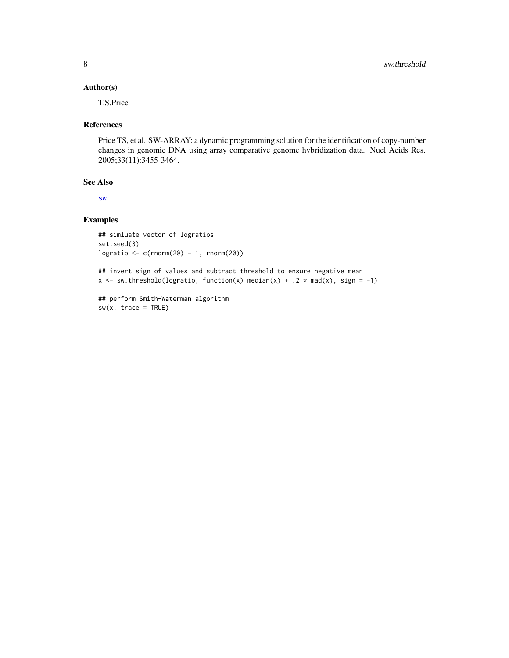#### <span id="page-7-0"></span>Author(s)

T.S.Price

#### References

Price TS, et al. SW-ARRAY: a dynamic programming solution for the identification of copy-number changes in genomic DNA using array comparative genome hybridization data. Nucl Acids Res. 2005;33(11):3455-3464.

#### See Also

[sw](#page-1-1)

#### Examples

```
## simluate vector of logratios
set.seed(3)
logratio <- c(rnorm(20) - 1, rnorm(20))
```

```
## invert sign of values and subtract threshold to ensure negative mean
x \leq -5 sw.threshold(logratio, function(x) median(x) + .2 * mad(x), sign = -1)
```

```
## perform Smith-Waterman algorithm
sw(x, trace = TRUE)
```